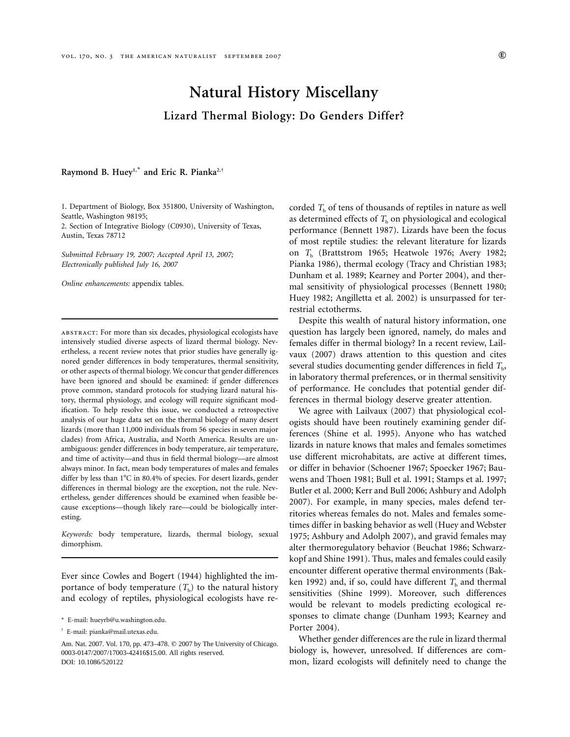# **Natural History Miscellany Lizard Thermal Biology: Do Genders Differ?**

Raymond B. Huey<sup>1,\*</sup> and Eric R. Pianka<sup>2,†</sup>

1. Department of Biology, Box 351800, University of Washington, Seattle, Washington 98195;

2. Section of Integrative Biology (C0930), University of Texas, Austin, Texas 78712

*Submitted February 19, 2007; Accepted April 13, 2007; Electronically published July 16, 2007*

*Online enhancements:* appendix tables.

abstract: For more than six decades, physiological ecologists have intensively studied diverse aspects of lizard thermal biology. Nevertheless, a recent review notes that prior studies have generally ignored gender differences in body temperatures, thermal sensitivity, or other aspects of thermal biology. We concur that gender differences have been ignored and should be examined: if gender differences prove common, standard protocols for studying lizard natural history, thermal physiology, and ecology will require significant modification. To help resolve this issue, we conducted a retrospective analysis of our huge data set on the thermal biology of many desert lizards (more than 11,000 individuals from 56 species in seven major clades) from Africa, Australia, and North America. Results are unambiguous: gender differences in body temperature, air temperature, and time of activity—and thus in field thermal biology—are almost always minor. In fact, mean body temperatures of males and females differ by less than  $1^{\circ}$ C in 80.4% of species. For desert lizards, gender differences in thermal biology are the exception, not the rule. Nevertheless, gender differences should be examined when feasible because exceptions—though likely rare—could be biologically interesting.

*Keywords:* body temperature, lizards, thermal biology, sexual dimorphism.

Ever since Cowles and Bogert (1944) highlighted the importance of body temperature  $(T<sub>b</sub>)$  to the natural history and ecology of reptiles, physiological ecologists have recorded  $T<sub>b</sub>$  of tens of thousands of reptiles in nature as well as determined effects of  $T<sub>b</sub>$  on physiological and ecological performance (Bennett 1987). Lizards have been the focus of most reptile studies: the relevant literature for lizards on *T*<sup>b</sup> (Brattstrom 1965; Heatwole 1976; Avery 1982; Pianka 1986), thermal ecology (Tracy and Christian 1983; Dunham et al. 1989; Kearney and Porter 2004), and thermal sensitivity of physiological processes (Bennett 1980; Huey 1982; Angilletta et al. 2002) is unsurpassed for terrestrial ectotherms.

Despite this wealth of natural history information, one question has largely been ignored, namely, do males and females differ in thermal biology? In a recent review, Lailvaux (2007) draws attention to this question and cites several studies documenting gender differences in field *T*b, in laboratory thermal preferences, or in thermal sensitivity of performance. He concludes that potential gender differences in thermal biology deserve greater attention.

We agree with Lailvaux (2007) that physiological ecologists should have been routinely examining gender differences (Shine et al. 1995). Anyone who has watched lizards in nature knows that males and females sometimes use different microhabitats, are active at different times, or differ in behavior (Schoener 1967; Spoecker 1967; Bauwens and Thoen 1981; Bull et al. 1991; Stamps et al. 1997; Butler et al. 2000; Kerr and Bull 2006; Ashbury and Adolph 2007). For example, in many species, males defend territories whereas females do not. Males and females sometimes differ in basking behavior as well (Huey and Webster 1975; Ashbury and Adolph 2007), and gravid females may alter thermoregulatory behavior (Beuchat 1986; Schwarzkopf and Shine 1991). Thus, males and females could easily encounter different operative thermal environments (Bakken 1992) and, if so, could have different  $T<sub>b</sub>$  and thermal sensitivities (Shine 1999). Moreover, such differences would be relevant to models predicting ecological responses to climate change (Dunham 1993; Kearney and Porter 2004).

Whether gender differences are the rule in lizard thermal biology is, however, unresolved. If differences are common, lizard ecologists will definitely need to change the

<sup>\*</sup> E-mail: hueyrb@u.washington.edu.

<sup>†</sup> E-mail: pianka@mail.utexas.edu.

Am. Nat. 2007. Vol. 170, pp. 473-478. © 2007 by The University of Chicago. 0003-0147/2007/17003-42416\$15.00. All rights reserved. DOI: 10.1086/520122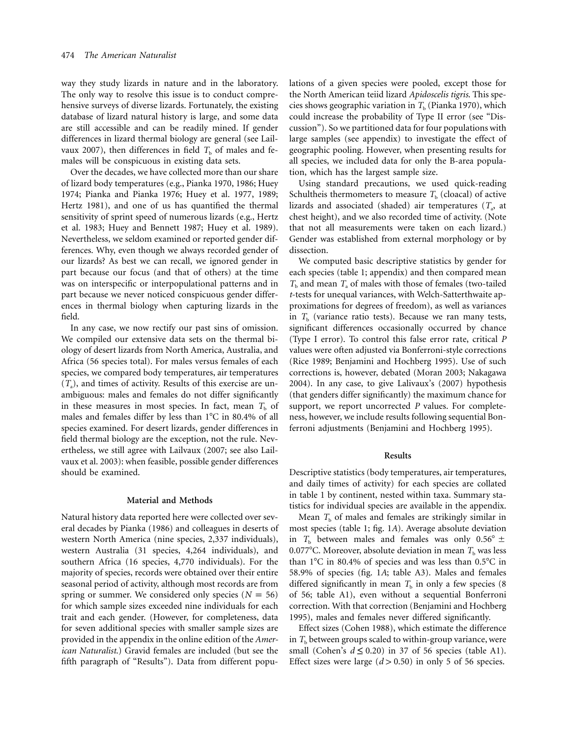way they study lizards in nature and in the laboratory. The only way to resolve this issue is to conduct comprehensive surveys of diverse lizards. Fortunately, the existing database of lizard natural history is large, and some data are still accessible and can be readily mined. If gender differences in lizard thermal biology are general (see Lailvaux 2007), then differences in field  $T<sub>b</sub>$  of males and females will be conspicuous in existing data sets.

Over the decades, we have collected more than our share of lizard body temperatures (e.g., Pianka 1970, 1986; Huey 1974; Pianka and Pianka 1976; Huey et al. 1977, 1989; Hertz 1981), and one of us has quantified the thermal sensitivity of sprint speed of numerous lizards (e.g., Hertz et al. 1983; Huey and Bennett 1987; Huey et al. 1989). Nevertheless, we seldom examined or reported gender differences. Why, even though we always recorded gender of our lizards? As best we can recall, we ignored gender in part because our focus (and that of others) at the time was on interspecific or interpopulational patterns and in part because we never noticed conspicuous gender differences in thermal biology when capturing lizards in the field.

In any case, we now rectify our past sins of omission. We compiled our extensive data sets on the thermal biology of desert lizards from North America, Australia, and Africa (56 species total). For males versus females of each species, we compared body temperatures, air temperatures  $(T_a)$ , and times of activity. Results of this exercise are unambiguous: males and females do not differ significantly in these measures in most species. In fact, mean  $T<sub>b</sub>$  of males and females differ by less than  $1^{\circ}$ C in 80.4% of all species examined. For desert lizards, gender differences in field thermal biology are the exception, not the rule. Nevertheless, we still agree with Lailvaux (2007; see also Lailvaux et al. 2003): when feasible, possible gender differences should be examined.

# **Material and Methods**

Natural history data reported here were collected over several decades by Pianka (1986) and colleagues in deserts of western North America (nine species, 2,337 individuals), western Australia (31 species, 4,264 individuals), and southern Africa (16 species, 4,770 individuals). For the majority of species, records were obtained over their entire seasonal period of activity, although most records are from spring or summer. We considered only species  $(N = 56)$ for which sample sizes exceeded nine individuals for each trait and each gender. (However, for completeness, data for seven additional species with smaller sample sizes are provided in the appendix in the online edition of the *American Naturalist*.) Gravid females are included (but see the fifth paragraph of "Results"). Data from different populations of a given species were pooled, except those for the North American teiid lizard *Apidoscelis tigris*. This species shows geographic variation in  $T<sub>b</sub>$  (Pianka 1970), which could increase the probability of Type II error (see "Discussion"). So we partitioned data for four populations with large samples (see appendix) to investigate the effect of geographic pooling. However, when presenting results for all species, we included data for only the B-area population, which has the largest sample size.

Using standard precautions, we used quick-reading Schultheis thermometers to measure  $T<sub>b</sub>$  (cloacal) of active lizards and associated (shaded) air temperatures  $(T_a)$ , at chest height), and we also recorded time of activity. (Note that not all measurements were taken on each lizard.) Gender was established from external morphology or by dissection.

We computed basic descriptive statistics by gender for each species (table 1; appendix) and then compared mean  $T<sub>b</sub>$  and mean  $T<sub>a</sub>$  of males with those of females (two-tailed *t*-tests for unequal variances, with Welch-Satterthwaite approximations for degrees of freedom), as well as variances in  $T_b$  (variance ratio tests). Because we ran many tests, significant differences occasionally occurred by chance (Type I error). To control this false error rate, critical *P* values were often adjusted via Bonferroni-style corrections (Rice 1989; Benjamini and Hochberg 1995). Use of such corrections is, however, debated (Moran 2003; Nakagawa 2004). In any case, to give Lalivaux's (2007) hypothesis (that genders differ significantly) the maximum chance for support, we report uncorrected *P* values. For completeness, however, we include results following sequential Bonferroni adjustments (Benjamini and Hochberg 1995).

#### **Results**

Descriptive statistics (body temperatures, air temperatures, and daily times of activity) for each species are collated in table 1 by continent, nested within taxa. Summary statistics for individual species are available in the appendix.

Mean  $T<sub>b</sub>$  of males and females are strikingly similar in most species (table 1; fig. 1*A*). Average absolute deviation in  $T<sub>b</sub>$  between males and females was only  $0.56^{\circ} \pm$ 0.077<sup>o</sup>C. Moreover, absolute deviation in mean  $T<sub>b</sub>$  was less than  $1^{\circ}$ C in 80.4% of species and was less than 0.5 $^{\circ}$ C in 58.9% of species (fig. 1*A*; table A3). Males and females differed significantly in mean  $T<sub>b</sub>$  in only a few species (8) of 56; table A1), even without a sequential Bonferroni correction. With that correction (Benjamini and Hochberg 1995), males and females never differed significantly.

Effect sizes (Cohen 1988), which estimate the difference in  $T<sub>b</sub>$  between groups scaled to within-group variance, were small (Cohen's  $d \le 0.20$ ) in 37 of 56 species (table A1). Effect sizes were large  $(d > 0.50)$  in only 5 of 56 species.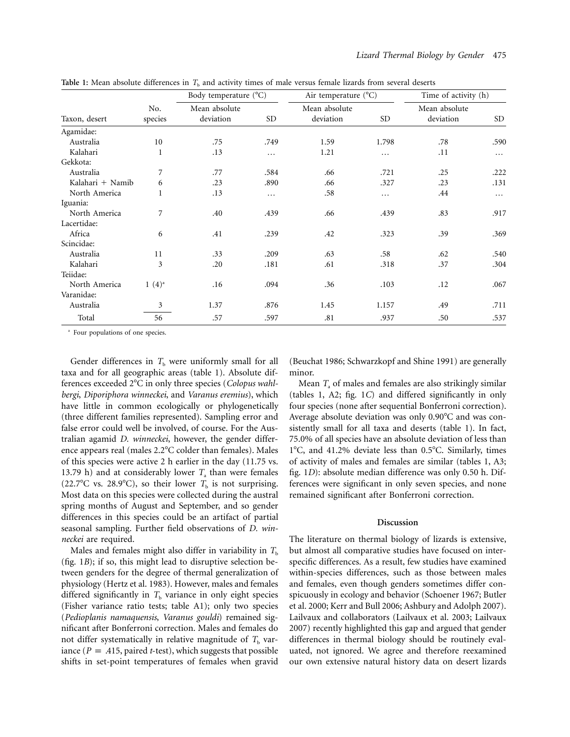**Table 1:** Mean absolute differences in  $T<sub>b</sub>$  and activity times of male versus female lizards from several deserts

| Taxon, desert    | No.<br>species | Body temperature (°C)      |           | Air temperature $(^{\circ}C)$ |           | Time of activity (h)       |           |
|------------------|----------------|----------------------------|-----------|-------------------------------|-----------|----------------------------|-----------|
|                  |                | Mean absolute<br>deviation | <b>SD</b> | Mean absolute<br>deviation    | <b>SD</b> | Mean absolute<br>deviation | <b>SD</b> |
| Agamidae:        |                |                            |           |                               |           |                            |           |
| Australia        | 10             | .75                        | .749      | 1.59                          | 1.798     | .78                        | .590      |
| Kalahari         | 1              | .13                        | $\cdots$  | 1.21                          | .         | .11                        | $\cdots$  |
| Gekkota:         |                |                            |           |                               |           |                            |           |
| Australia        | 7              | .77                        | .584      | .66                           | .721      | .25                        | .222      |
| Kalahari + Namib | 6              | .23                        | .890      | .66                           | .327      | .23                        | .131      |
| North America    | 1              | .13                        | $\cdots$  | .58                           | .         | .44                        | $\cdots$  |
| Iguania:         |                |                            |           |                               |           |                            |           |
| North America    | 7              | .40                        | .439      | .66                           | .439      | .83                        | .917      |
| Lacertidae:      |                |                            |           |                               |           |                            |           |
| Africa           | 6              | .41                        | .239      | .42                           | .323      | .39                        | .369      |
| Scincidae:       |                |                            |           |                               |           |                            |           |
| Australia        | 11             | .33                        | .209      | .63                           | .58       | .62                        | .540      |
| Kalahari         | 3              | .20                        | .181      | .61                           | .318      | .37                        | .304      |
| Teiidae:         |                |                            |           |                               |           |                            |           |
| North America    | $1(4)^{a}$     | .16                        | .094      | .36                           | .103      | .12                        | .067      |
| Varanidae:       |                |                            |           |                               |           |                            |           |
| Australia        | 3              | 1.37                       | .876      | 1.45                          | 1.157     | .49                        | .711      |
| Total            | 56             | .57                        | .597      | .81                           | .937      | .50                        | .537      |

<sup>a</sup> Four populations of one species.

Gender differences in  $T<sub>b</sub>$  were uniformly small for all taxa and for all geographic areas (table 1). Absolute differences exceeded 2C in only three species (*Colopus wahlbergi*, *Diporiphora winneckei*, and *Varanus eremius*), which have little in common ecologically or phylogenetically (three different families represented). Sampling error and false error could well be involved, of course. For the Australian agamid *D. winneckei*, however, the gender difference appears real (males 2.2°C colder than females). Males of this species were active 2 h earlier in the day (11.75 vs. 13.79 h) and at considerably lower  $T_a$  than were females (22.7<sup>o</sup>C vs. 28.9<sup>o</sup>C), so their lower  $T<sub>b</sub>$  is not surprising. Most data on this species were collected during the austral spring months of August and September, and so gender differences in this species could be an artifact of partial seasonal sampling. Further field observations of *D. winneckei* are required.

Males and females might also differ in variability in  $T<sub>b</sub>$ (fig. 1*B*); if so, this might lead to disruptive selection between genders for the degree of thermal generalization of physiology (Hertz et al. 1983). However, males and females differed significantly in  $T<sub>b</sub>$  variance in only eight species (Fisher variance ratio tests; table A1); only two species (*Pedioplanis namaquensis*, *Varanus gouldi*) remained significant after Bonferroni correction. Males and females do not differ systematically in relative magnitude of  $T<sub>b</sub>$  variance ( $P = .415$ , paired *t*-test), which suggests that possible shifts in set-point temperatures of females when gravid

(Beuchat 1986; Schwarzkopf and Shine 1991) are generally minor.

Mean *T*<sup>a</sup> of males and females are also strikingly similar (tables 1, A2; fig. 1*C*) and differed significantly in only four species (none after sequential Bonferroni correction). Average absolute deviation was only 0.90<sup>o</sup>C and was consistently small for all taxa and deserts (table 1). In fact, 75.0% of all species have an absolute deviation of less than  $1^{\circ}$ C, and 41.2% deviate less than 0.5 $^{\circ}$ C. Similarly, times of activity of males and females are similar (tables 1, A3; fig. 1*D*): absolute median difference was only 0.50 h. Differences were significant in only seven species, and none remained significant after Bonferroni correction.

#### **Discussion**

The literature on thermal biology of lizards is extensive, but almost all comparative studies have focused on interspecific differences. As a result, few studies have examined within-species differences, such as those between males and females, even though genders sometimes differ conspicuously in ecology and behavior (Schoener 1967; Butler et al. 2000; Kerr and Bull 2006; Ashbury and Adolph 2007). Lailvaux and collaborators (Lailvaux et al. 2003; Lailvaux 2007) recently highlighted this gap and argued that gender differences in thermal biology should be routinely evaluated, not ignored. We agree and therefore reexamined our own extensive natural history data on desert lizards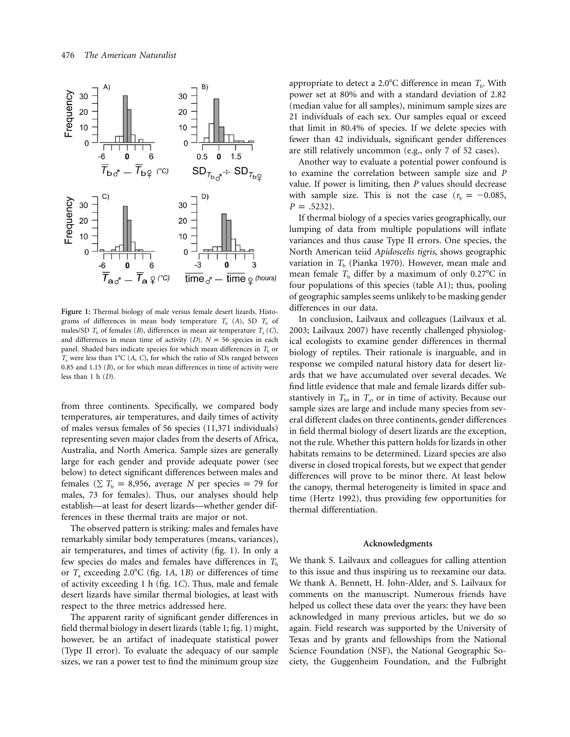

**Figure 1:** Thermal biology of male versus female desert lizards. Histograms of differences in mean body temperature  $T_b$  (*A*), SD  $T_b$  of males/SD  $T<sub>b</sub>$  of females (*B*), differences in mean air temperature  $T<sub>a</sub>$  (*C*), and differences in mean time of activity  $(D)$ .  $N = 56$  species in each panel. Shaded bars indicate species for which mean differences in  $T<sub>b</sub>$  or  $T_a$  were less than  $1^{\circ}$ C (*A*, *C*), for which the ratio of SDs ranged between 0.85 and 1.15 (*B*), or for which mean differences in time of activity were less than 1 h (*D*).

from three continents. Specifically, we compared body temperatures, air temperatures, and daily times of activity of males versus females of 56 species (11,371 individuals) representing seven major clades from the deserts of Africa, Australia, and North America. Sample sizes are generally large for each gender and provide adequate power (see below) to detect significant differences between males and females ( $\sum T_b = 8,956$ , average *N* per species = 79 for males, 73 for females). Thus, our analyses should help establish—at least for desert lizards—whether gender differences in these thermal traits are major or not.

The observed pattern is striking: males and females have remarkably similar body temperatures (means, variances), air temperatures, and times of activity (fig. 1). In only a few species do males and females have differences in  $T<sub>b</sub>$ or *T*<sub>a</sub> exceeding 2.0°C (fig. 1A, 1B) or differences of time of activity exceeding 1 h (fig. 1*C*). Thus, male and female desert lizards have similar thermal biologies, at least with respect to the three metrics addressed here.

The apparent rarity of significant gender differences in field thermal biology in desert lizards (table 1; fig. 1) might, however, be an artifact of inadequate statistical power (Type II error). To evaluate the adequacy of our sample sizes, we ran a power test to find the minimum group size appropriate to detect a 2.0°C difference in mean  $T_b$ . With power set at 80% and with a standard deviation of 2.82 (median value for all samples), minimum sample sizes are 21 individuals of each sex. Our samples equal or exceed that limit in 80.4% of species. If we delete species with fewer than 42 individuals, significant gender differences are still relatively uncommon (e.g., only 7 of 52 cases).

Another way to evaluate a potential power confound is to examine the correlation between sample size and *P* value. If power is limiting, then *P* values should decrease with sample size. This is not the case  $(r_s = -0.085,$  $P = .5232$ ).

If thermal biology of a species varies geographically, our lumping of data from multiple populations will inflate variances and thus cause Type II errors. One species, the North American teiid *Apidoscelis tigris*, shows geographic variation in  $T<sub>b</sub>$  (Pianka 1970). However, mean male and mean female  $T<sub>b</sub>$  differ by a maximum of only 0.27<sup>o</sup>C in four populations of this species (table A1); thus, pooling of geographic samples seems unlikely to be masking gender differences in our data.

In conclusion, Lailvaux and colleagues (Lailvaux et al. 2003; Lailvaux 2007) have recently challenged physiological ecologists to examine gender differences in thermal biology of reptiles. Their rationale is inarguable, and in response we compiled natural history data for desert lizards that we have accumulated over several decades. We find little evidence that male and female lizards differ substantively in  $T<sub>b</sub>$ , in  $T<sub>a</sub>$ , or in time of activity. Because our sample sizes are large and include many species from several different clades on three continents, gender differences in field thermal biology of desert lizards are the exception, not the rule. Whether this pattern holds for lizards in other habitats remains to be determined. Lizard species are also diverse in closed tropical forests, but we expect that gender differences will prove to be minor there. At least below the canopy, thermal heterogeneity is limited in space and time (Hertz 1992), thus providing few opportunities for thermal differentiation.

# **Acknowledgments**

We thank S. Lailvaux and colleagues for calling attention to this issue and thus inspiring us to reexamine our data. We thank A. Bennett, H. John-Alder, and S. Lailvaux for comments on the manuscript. Numerous friends have helped us collect these data over the years: they have been acknowledged in many previous articles, but we do so again. Field research was supported by the University of Texas and by grants and fellowships from the National Science Foundation (NSF), the National Geographic Society, the Guggenheim Foundation, and the Fulbright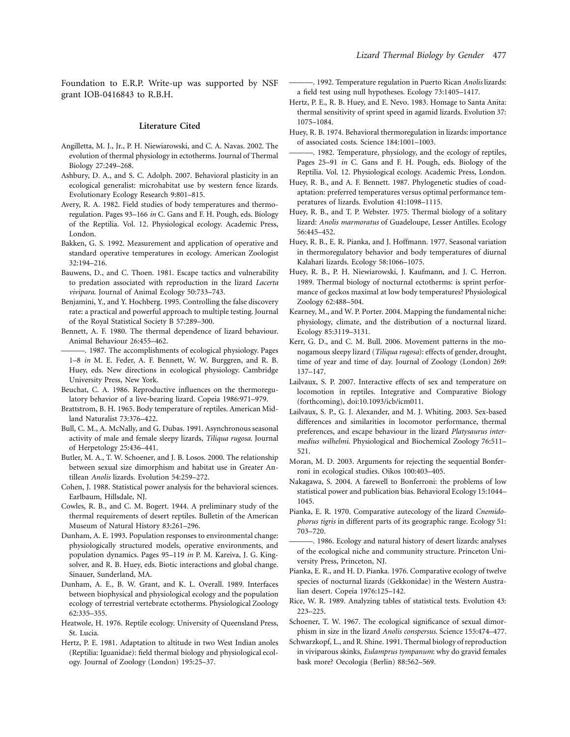Foundation to E.R.P. Write-up was supported by NSF grant IOB-0416843 to R.B.H.

# **Literature Cited**

- Angilletta, M. J., Jr., P. H. Niewiarowski, and C. A. Navas. 2002. The evolution of thermal physiology in ectotherms. Journal of Thermal Biology 27:249–268.
- Ashbury, D. A., and S. C. Adolph. 2007. Behavioral plasticity in an ecological generalist: microhabitat use by western fence lizards. Evolutionary Ecology Research 9:801–815.
- Avery, R. A. 1982. Field studies of body temperatures and thermoregulation. Pages 93–166 *in* C. Gans and F. H. Pough, eds. Biology of the Reptilia. Vol. 12. Physiological ecology. Academic Press, London.
- Bakken, G. S. 1992. Measurement and application of operative and standard operative temperatures in ecology. American Zoologist 32:194–216.
- Bauwens, D., and C. Thoen. 1981. Escape tactics and vulnerability to predation associated with reproduction in the lizard *Lacerta vivipara*. Journal of Animal Ecology 50:733–743.
- Benjamini, Y., and Y. Hochberg. 1995. Controlling the false discovery rate: a practical and powerful approach to multiple testing. Journal of the Royal Statistical Society B 57:289–300.
- Bennett, A. F. 1980. The thermal dependence of lizard behaviour. Animal Behaviour 26:455–462.
- ———. 1987. The accomplishments of ecological physiology. Pages 1–8 *in* M. E. Feder, A. F. Bennett, W. W. Burggren, and R. B. Huey, eds. New directions in ecological physiology. Cambridge University Press, New York.
- Beuchat, C. A. 1986. Reproductive influences on the thermoregulatory behavior of a live-bearing lizard. Copeia 1986:971–979.
- Brattstrom, B. H. 1965. Body temperature of reptiles. American Midland Naturalist 73:376–422.
- Bull, C. M., A. McNally, and G. Dubas. 1991. Asynchronous seasonal activity of male and female sleepy lizards, *Tiliqua rugosa*. Journal of Herpetology 25:436–441.
- Butler, M. A., T. W. Schoener, and J. B. Losos. 2000. The relationship between sexual size dimorphism and habitat use in Greater Antillean *Anolis* lizards. Evolution 54:259–272.
- Cohen, J. 1988. Statistical power analysis for the behavioral sciences. Earlbaum, Hillsdale, NJ.
- Cowles, R. B., and C. M. Bogert. 1944. A preliminary study of the thermal requirements of desert reptiles. Bulletin of the American Museum of Natural History 83:261–296.
- Dunham, A. E. 1993. Population responses to environmental change: physiologically structured models, operative environments, and population dynamics. Pages 95–119 *in* P. M. Kareiva, J. G. Kingsolver, and R. B. Huey, eds. Biotic interactions and global change. Sinauer, Sunderland, MA.
- Dunham, A. E., B. W. Grant, and K. L. Overall. 1989. Interfaces between biophysical and physiological ecology and the population ecology of terrestrial vertebrate ectotherms. Physiological Zoology 62:335–355.
- Heatwole, H. 1976. Reptile ecology. University of Queensland Press, St. Lucia.
- Hertz, P. E. 1981. Adaptation to altitude in two West Indian anoles (Reptilia: Iguanidae): field thermal biology and physiological ecology. Journal of Zoology (London) 195:25–37.
- ———. 1992. Temperature regulation in Puerto Rican *Anolis* lizards: a field test using null hypotheses. Ecology 73:1405–1417.
- Hertz, P. E., R. B. Huey, and E. Nevo. 1983. Homage to Santa Anita: thermal sensitivity of sprint speed in agamid lizards. Evolution 37: 1075–1084.
- Huey, R. B. 1974. Behavioral thermoregulation in lizards: importance of associated costs. Science 184:1001–1003.
- -. 1982. Temperature, physiology, and the ecology of reptiles, Pages 25–91 *in* C. Gans and F. H. Pough, eds. Biology of the Reptilia. Vol. 12. Physiological ecology. Academic Press, London.
- Huey, R. B., and A. F. Bennett. 1987. Phylogenetic studies of coadaptation: preferred temperatures versus optimal performance temperatures of lizards. Evolution 41:1098–1115.
- Huey, R. B., and T. P. Webster. 1975. Thermal biology of a solitary lizard: *Anolis marmoratus* of Guadeloupe, Lesser Antilles. Ecology 56:445–452.
- Huey, R. B., E. R. Pianka, and J. Hoffmann. 1977. Seasonal variation in thermoregulatory behavior and body temperatures of diurnal Kalahari lizards. Ecology 58:1066–1075.
- Huey, R. B., P. H. Niewiarowski, J. Kaufmann, and J. C. Herron. 1989. Thermal biology of nocturnal ectotherms: is sprint performance of geckos maximal at low body temperatures? Physiological Zoology 62:488–504.
- Kearney, M., and W. P. Porter. 2004. Mapping the fundamental niche: physiology, climate, and the distribution of a nocturnal lizard. Ecology 85:3119–3131.
- Kerr, G. D., and C. M. Bull. 2006. Movement patterns in the monogamous sleepy lizard (*Tiliqua rugosa*): effects of gender, drought, time of year and time of day. Journal of Zoology (London) 269: 137–147.
- Lailvaux, S. P. 2007. Interactive effects of sex and temperature on locomotion in reptiles. Integrative and Comparative Biology (forthcoming), doi:10.1093/icb/icm011.
- Lailvaux, S. P., G. J. Alexander, and M. J. Whiting. 2003. Sex-based differences and similarities in locomotor performance, thermal preferences, and escape behaviour in the lizard *Platysaurus intermedius wilhelmi*. Physiological and Biochemical Zoology 76:511– 521.
- Moran, M. D. 2003. Arguments for rejecting the sequential Bonferroni in ecological studies. Oikos 100:403–405.
- Nakagawa, S. 2004. A farewell to Bonferroni: the problems of low statistical power and publication bias. Behavioral Ecology 15:1044– 1045.
- Pianka, E. R. 1970. Comparative autecology of the lizard *Cnemidophorus tigris* in different parts of its geographic range. Ecology 51: 703–720.
- ———. 1986. Ecology and natural history of desert lizards: analyses of the ecological niche and community structure. Princeton University Press, Princeton, NJ.
- Pianka, E. R., and H. D. Pianka. 1976. Comparative ecology of twelve species of nocturnal lizards (Gekkonidae) in the Western Australian desert. Copeia 1976:125–142.
- Rice, W. R. 1989. Analyzing tables of statistical tests. Evolution 43: 223–225.
- Schoener, T. W. 1967. The ecological significance of sexual dimorphism in size in the lizard *Anolis conspersus*. Science 155:474–477.
- Schwarzkopf, L., and R. Shine. 1991. Thermal biology of reproduction in viviparous skinks, *Eulamprus tympanum*: why do gravid females bask more? Oecologia (Berlin) 88:562–569.